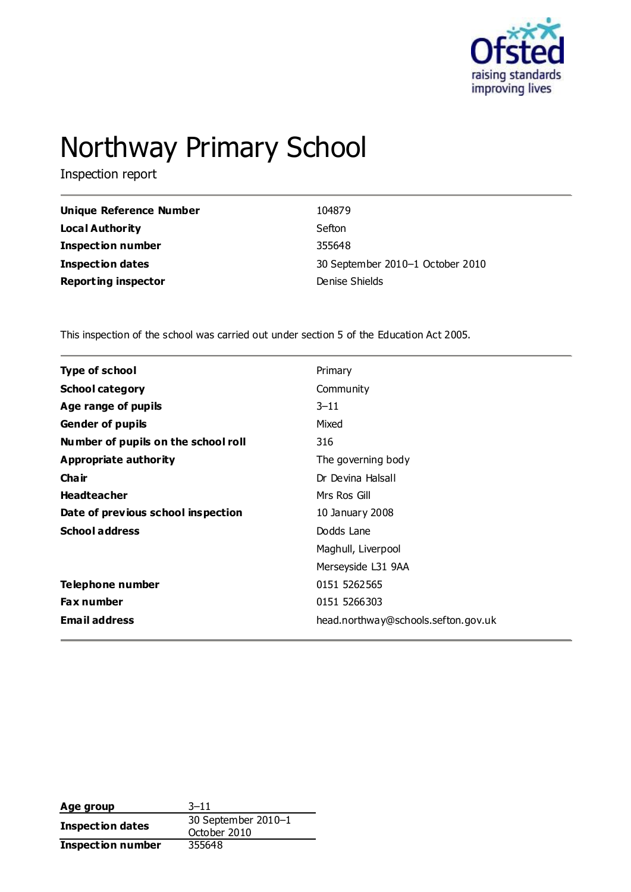

# Northway Primary School

Inspection report

| Unique Reference Number    | 104879                           |
|----------------------------|----------------------------------|
| Local Authority            | Sefton                           |
| <b>Inspection number</b>   | 355648                           |
| <b>Inspection dates</b>    | 30 September 2010-1 October 2010 |
| <b>Reporting inspector</b> | Denise Shields                   |

This inspection of the school was carried out under section 5 of the Education Act 2005.

| <b>Type of school</b>               | Primary                             |
|-------------------------------------|-------------------------------------|
| <b>School category</b>              | Community                           |
| Age range of pupils                 | $3 - 11$                            |
| <b>Gender of pupils</b>             | Mixed                               |
| Number of pupils on the school roll | 316                                 |
| Appropriate authority               | The governing body                  |
| Cha ir                              | Dr Devina Halsall                   |
| <b>Headteacher</b>                  | Mrs Ros Gill                        |
| Date of previous school inspection  | 10 January 2008                     |
| <b>School address</b>               | Dodds Lane                          |
|                                     | Maghull, Liverpool                  |
|                                     | Merseyside L31 9AA                  |
| Telephone number                    | 0151 5262565                        |
| <b>Fax number</b>                   | 0151 5266303                        |
| <b>Email address</b>                | head.northway@schools.sefton.gov.uk |

| Age group                | $3 - 11$            |  |
|--------------------------|---------------------|--|
|                          | 30 September 2010-1 |  |
| Inspection dates         | October 2010        |  |
| <b>Inspection number</b> | 355648              |  |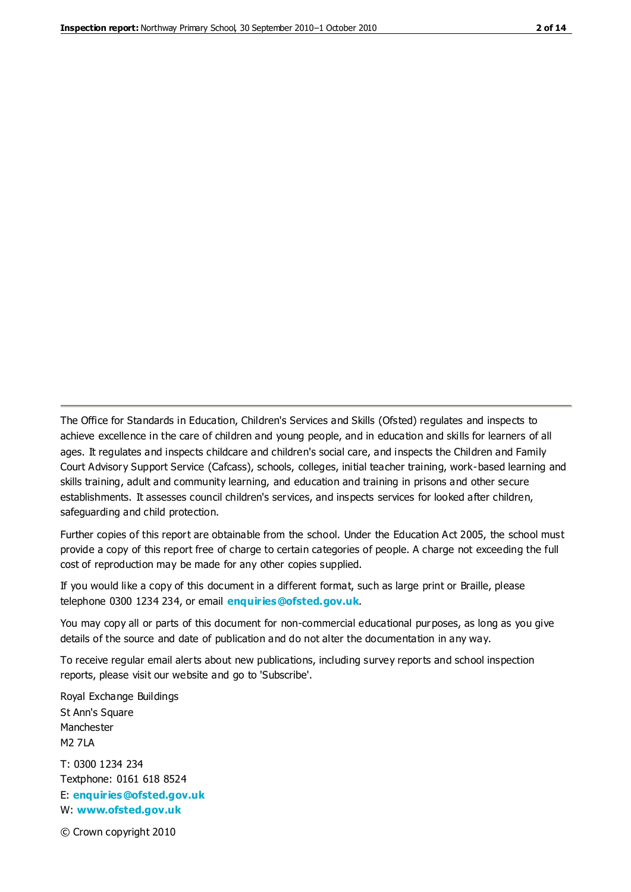The Office for Standards in Education, Children's Services and Skills (Ofsted) regulates and inspects to achieve excellence in the care of children and young people, and in education and skills for learners of all ages. It regulates and inspects childcare and children's social care, and inspects the Children and Family Court Advisory Support Service (Cafcass), schools, colleges, initial teacher training, work-based learning and skills training, adult and community learning, and education and training in prisons and other secure establishments. It assesses council children's services, and inspects services for looked after children, safeguarding and child protection.

Further copies of this report are obtainable from the school. Under the Education Act 2005, the school must provide a copy of this report free of charge to certain categories of people. A charge not exceeding the full cost of reproduction may be made for any other copies supplied.

If you would like a copy of this document in a different format, such as large print or Braille, please telephone 0300 1234 234, or email **[enquiries@ofsted.gov.uk](mailto:enquiries@ofsted.gov.uk)**.

You may copy all or parts of this document for non-commercial educational purposes, as long as you give details of the source and date of publication and do not alter the documentation in any way.

To receive regular email alerts about new publications, including survey reports and school inspection reports, please visit our website and go to 'Subscribe'.

Royal Exchange Buildings St Ann's Square Manchester M2 7LA T: 0300 1234 234 Textphone: 0161 618 8524 E: **[enquiries@ofsted.gov.uk](mailto:enquiries@ofsted.gov.uk)** W: **[www.ofsted.gov.uk](http://www.ofsted.gov.uk/)**

© Crown copyright 2010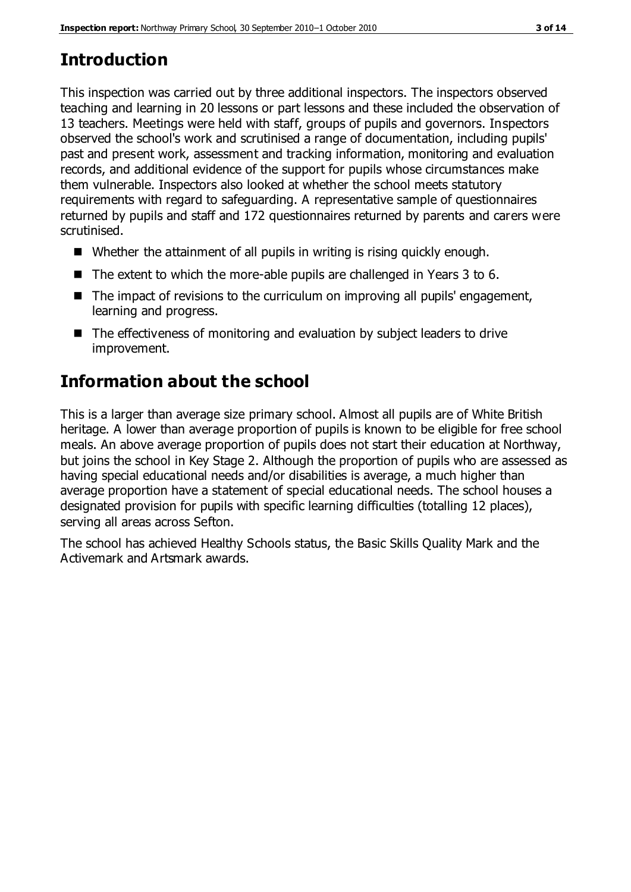# **Introduction**

This inspection was carried out by three additional inspectors. The inspectors observed teaching and learning in 20 lessons or part lessons and these included the observation of 13 teachers. Meetings were held with staff, groups of pupils and governors. Inspectors observed the school's work and scrutinised a range of documentation, including pupils' past and present work, assessment and tracking information, monitoring and evaluation records, and additional evidence of the support for pupils whose circumstances make them vulnerable. Inspectors also looked at whether the school meets statutory requirements with regard to safeguarding. A representative sample of questionnaires returned by pupils and staff and 172 questionnaires returned by parents and carers were scrutinised.

- Whether the attainment of all pupils in writing is rising quickly enough.
- $\blacksquare$  The extent to which the more-able pupils are challenged in Years 3 to 6.
- The impact of revisions to the curriculum on improving all pupils' engagement, learning and progress.
- The effectiveness of monitoring and evaluation by subject leaders to drive improvement.

# **Information about the school**

This is a larger than average size primary school. Almost all pupils are of White British heritage. A lower than average proportion of pupils is known to be eligible for free school meals. An above average proportion of pupils does not start their education at Northway, but joins the school in Key Stage 2. Although the proportion of pupils who are assessed as having special educational needs and/or disabilities is average, a much higher than average proportion have a statement of special educational needs. The school houses a designated provision for pupils with specific learning difficulties (totalling 12 places), serving all areas across Sefton.

The school has achieved Healthy Schools status, the Basic Skills Quality Mark and the Activemark and Artsmark awards.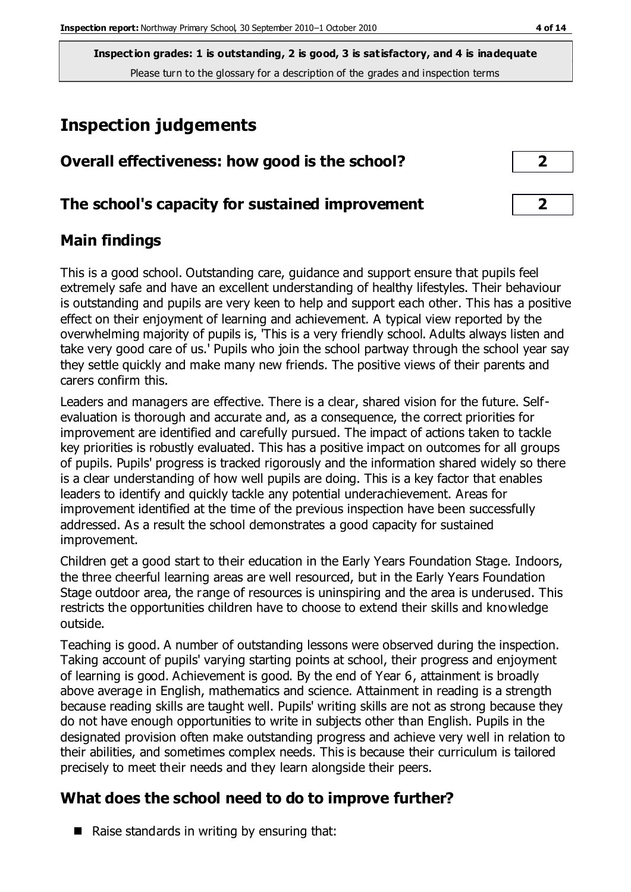# **Inspection judgements**

| Overall effectiveness: how good is the school?  |  |
|-------------------------------------------------|--|
| The school's capacity for sustained improvement |  |

#### **Main findings**

This is a good school. Outstanding care, guidance and support ensure that pupils feel extremely safe and have an excellent understanding of healthy lifestyles. Their behaviour is outstanding and pupils are very keen to help and support each other. This has a positive effect on their enjoyment of learning and achievement. A typical view reported by the overwhelming majority of pupils is, 'This is a very friendly school. Adults always listen and take very good care of us.' Pupils who join the school partway through the school year say they settle quickly and make many new friends. The positive views of their parents and carers confirm this.

Leaders and managers are effective. There is a clear, shared vision for the future. Selfevaluation is thorough and accurate and, as a consequence, the correct priorities for improvement are identified and carefully pursued. The impact of actions taken to tackle key priorities is robustly evaluated. This has a positive impact on outcomes for all groups of pupils. Pupils' progress is tracked rigorously and the information shared widely so there is a clear understanding of how well pupils are doing. This is a key factor that enables leaders to identify and quickly tackle any potential underachievement. Areas for improvement identified at the time of the previous inspection have been successfully addressed. As a result the school demonstrates a good capacity for sustained improvement.

Children get a good start to their education in the Early Years Foundation Stage. Indoors, the three cheerful learning areas are well resourced, but in the Early Years Foundation Stage outdoor area, the range of resources is uninspiring and the area is underused. This restricts the opportunities children have to choose to extend their skills and knowledge outside.

Teaching is good. A number of outstanding lessons were observed during the inspection. Taking account of pupils' varying starting points at school, their progress and enjoyment of learning is good. Achievement is good. By the end of Year 6, attainment is broadly above average in English, mathematics and science. Attainment in reading is a strength because reading skills are taught well. Pupils' writing skills are not as strong because they do not have enough opportunities to write in subjects other than English. Pupils in the designated provision often make outstanding progress and achieve very well in relation to their abilities, and sometimes complex needs. This is because their curriculum is tailored precisely to meet their needs and they learn alongside their peers.

### **What does the school need to do to improve further?**

Raise standards in writing by ensuring that: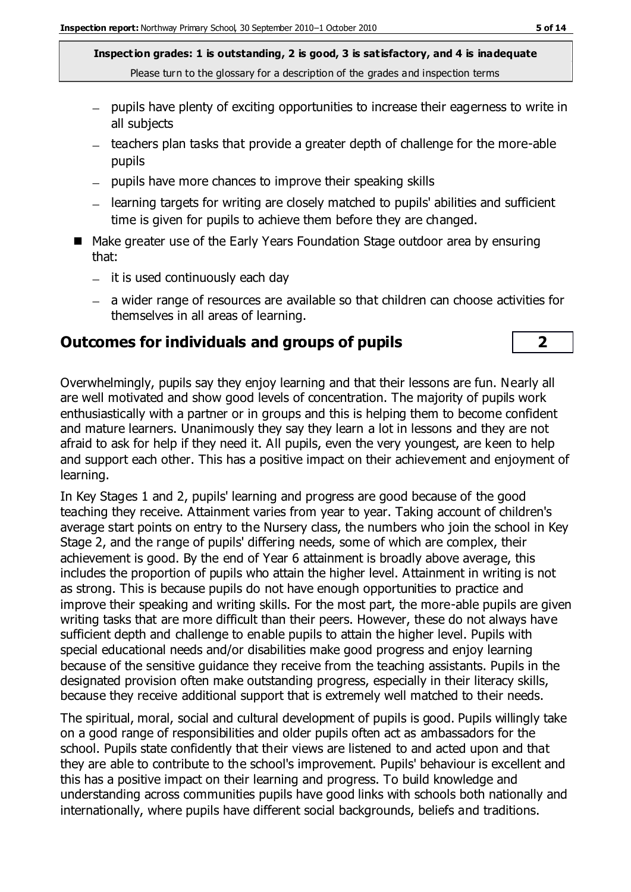- pupils have plenty of exciting opportunities to increase their eagerness to write in all subjects
- teachers plan tasks that provide a greater depth of challenge for the more-able pupils
- $-$  pupils have more chances to improve their speaking skills
- learning targets for writing are closely matched to pupils' abilities and sufficient time is given for pupils to achieve them before they are changed.
- Make greater use of the Early Years Foundation Stage outdoor area by ensuring that:
	- $-$  it is used continuously each day
	- a wider range of resources are available so that children can choose activities for themselves in all areas of learning.

#### **Outcomes for individuals and groups of pupils 2**

Overwhelmingly, pupils say they enjoy learning and that their lessons are fun. Nearly all are well motivated and show good levels of concentration. The majority of pupils work enthusiastically with a partner or in groups and this is helping them to become confident and mature learners. Unanimously they say they learn a lot in lessons and they are not afraid to ask for help if they need it. All pupils, even the very youngest, are keen to help and support each other. This has a positive impact on their achievement and enjoyment of learning.

In Key Stages 1 and 2, pupils' learning and progress are good because of the good teaching they receive. Attainment varies from year to year. Taking account of children's average start points on entry to the Nursery class, the numbers who join the school in Key Stage 2, and the range of pupils' differing needs, some of which are complex, their achievement is good. By the end of Year 6 attainment is broadly above average, this includes the proportion of pupils who attain the higher level. Attainment in writing is not as strong. This is because pupils do not have enough opportunities to practice and improve their speaking and writing skills. For the most part, the more-able pupils are given writing tasks that are more difficult than their peers. However, these do not always have sufficient depth and challenge to enable pupils to attain the higher level. Pupils with special educational needs and/or disabilities make good progress and enjoy learning because of the sensitive guidance they receive from the teaching assistants. Pupils in the designated provision often make outstanding progress, especially in their literacy skills, because they receive additional support that is extremely well matched to their needs.

The spiritual, moral, social and cultural development of pupils is good. Pupils willingly take on a good range of responsibilities and older pupils often act as ambassadors for the school. Pupils state confidently that their views are listened to and acted upon and that they are able to contribute to the school's improvement. Pupils' behaviour is excellent and this has a positive impact on their learning and progress. To build knowledge and understanding across communities pupils have good links with schools both nationally and internationally, where pupils have different social backgrounds, beliefs and traditions.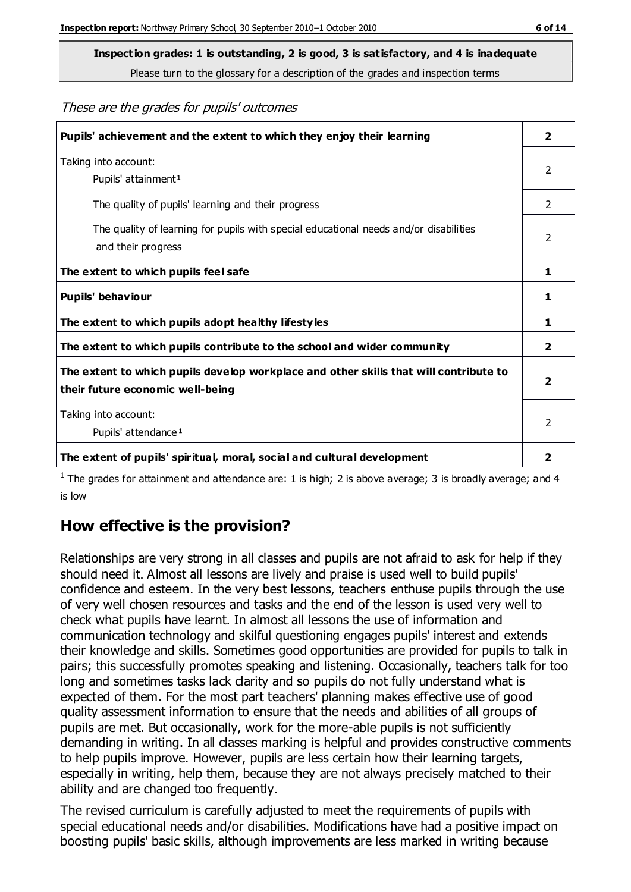**Inspection grades: 1 is outstanding, 2 is good, 3 is satisfactory, and 4 is inadequate**

Please turn to the glossary for a description of the grades and inspection terms

These are the grades for pupils' outcomes

| Pupils' achievement and the extent to which they enjoy their learning                                                     | $\overline{2}$ |
|---------------------------------------------------------------------------------------------------------------------------|----------------|
| Taking into account:<br>Pupils' attainment <sup>1</sup>                                                                   | 2              |
| The quality of pupils' learning and their progress                                                                        | $\mathcal{P}$  |
| The quality of learning for pupils with special educational needs and/or disabilities<br>and their progress               | $\overline{2}$ |
| The extent to which pupils feel safe                                                                                      | 1              |
| Pupils' behaviour                                                                                                         | 1              |
| The extent to which pupils adopt healthy lifestyles                                                                       | 1              |
| The extent to which pupils contribute to the school and wider community                                                   | $\overline{2}$ |
| The extent to which pupils develop workplace and other skills that will contribute to<br>their future economic well-being | $\overline{2}$ |
| Taking into account:<br>Pupils' attendance <sup>1</sup>                                                                   | $\mathcal{P}$  |
| The extent of pupils' spiritual, moral, social and cultural development                                                   | 2              |

<sup>1</sup> The grades for attainment and attendance are: 1 is high; 2 is above average; 3 is broadly average; and 4 is low

### **How effective is the provision?**

Relationships are very strong in all classes and pupils are not afraid to ask for help if they should need it. Almost all lessons are lively and praise is used well to build pupils' confidence and esteem. In the very best lessons, teachers enthuse pupils through the use of very well chosen resources and tasks and the end of the lesson is used very well to check what pupils have learnt. In almost all lessons the use of information and communication technology and skilful questioning engages pupils' interest and extends their knowledge and skills. Sometimes good opportunities are provided for pupils to talk in pairs; this successfully promotes speaking and listening. Occasionally, teachers talk for too long and sometimes tasks lack clarity and so pupils do not fully understand what is expected of them. For the most part teachers' planning makes effective use of good quality assessment information to ensure that the needs and abilities of all groups of pupils are met. But occasionally, work for the more-able pupils is not sufficiently demanding in writing. In all classes marking is helpful and provides constructive comments to help pupils improve. However, pupils are less certain how their learning targets, especially in writing, help them, because they are not always precisely matched to their ability and are changed too frequently.

The revised curriculum is carefully adjusted to meet the requirements of pupils with special educational needs and/or disabilities. Modifications have had a positive impact on boosting pupils' basic skills, although improvements are less marked in writing because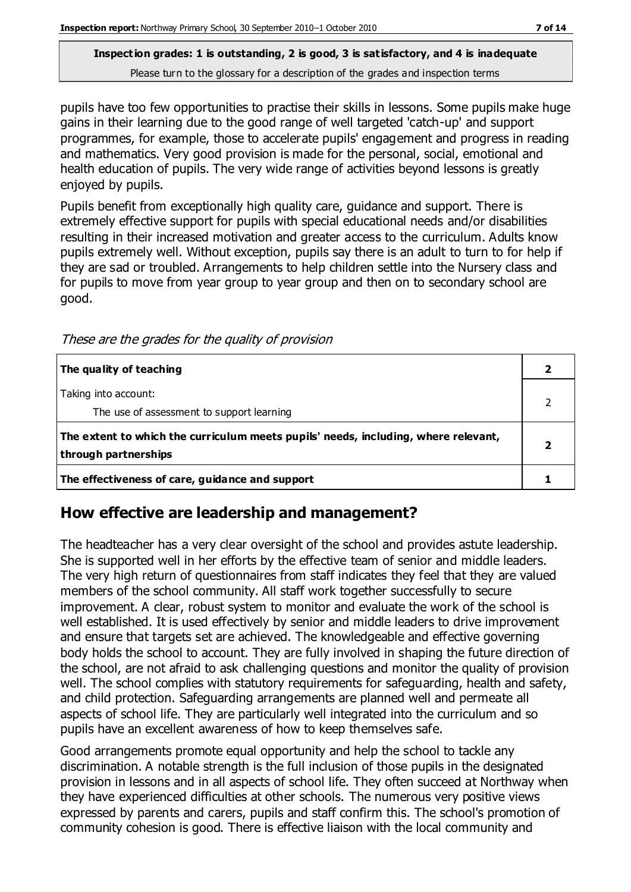pupils have too few opportunities to practise their skills in lessons. Some pupils make huge gains in their learning due to the good range of well targeted 'catch-up' and support programmes, for example, those to accelerate pupils' engagement and progress in reading and mathematics. Very good provision is made for the personal, social, emotional and health education of pupils. The very wide range of activities beyond lessons is greatly enjoyed by pupils.

Pupils benefit from exceptionally high quality care, guidance and support. There is extremely effective support for pupils with special educational needs and/or disabilities resulting in their increased motivation and greater access to the curriculum. Adults know pupils extremely well. Without exception, pupils say there is an adult to turn to for help if they are sad or troubled. Arrangements to help children settle into the Nursery class and for pupils to move from year group to year group and then on to secondary school are good.

These are the grades for the quality of provision

| The quality of teaching                                                                                    |  |
|------------------------------------------------------------------------------------------------------------|--|
| Taking into account:<br>The use of assessment to support learning                                          |  |
| The extent to which the curriculum meets pupils' needs, including, where relevant,<br>through partnerships |  |
| The effectiveness of care, guidance and support                                                            |  |

### **How effective are leadership and management?**

The headteacher has a very clear oversight of the school and provides astute leadership. She is supported well in her efforts by the effective team of senior and middle leaders. The very high return of questionnaires from staff indicates they feel that they are valued members of the school community. All staff work together successfully to secure improvement. A clear, robust system to monitor and evaluate the work of the school is well established. It is used effectively by senior and middle leaders to drive improvement and ensure that targets set are achieved. The knowledgeable and effective governing body holds the school to account. They are fully involved in shaping the future direction of the school, are not afraid to ask challenging questions and monitor the quality of provision well. The school complies with statutory requirements for safeguarding, health and safety, and child protection. Safeguarding arrangements are planned well and permeate all aspects of school life. They are particularly well integrated into the curriculum and so pupils have an excellent awareness of how to keep themselves safe.

Good arrangements promote equal opportunity and help the school to tackle any discrimination. A notable strength is the full inclusion of those pupils in the designated provision in lessons and in all aspects of school life. They often succeed at Northway when they have experienced difficulties at other schools. The numerous very positive views expressed by parents and carers, pupils and staff confirm this. The school's promotion of community cohesion is good. There is effective liaison with the local community and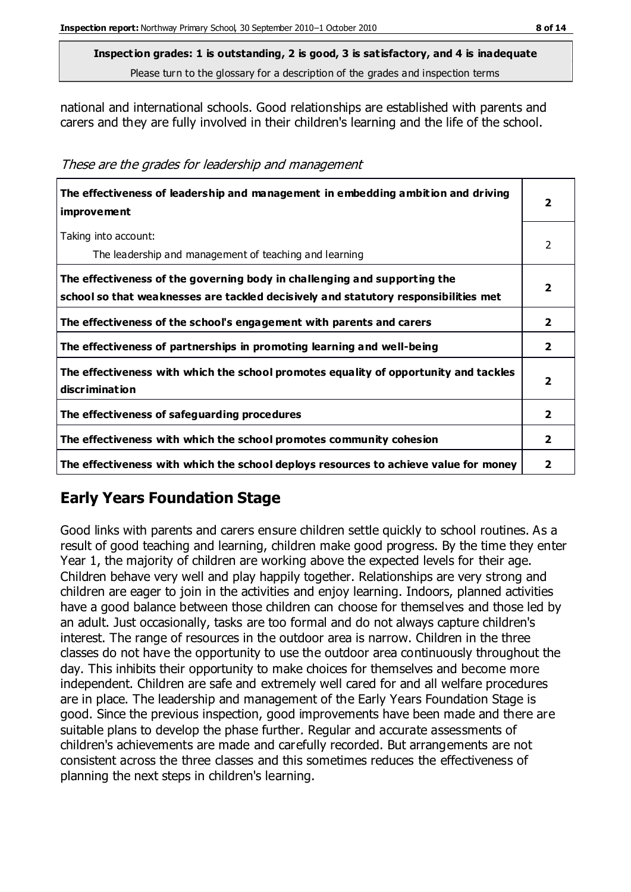national and international schools. Good relationships are established with parents and carers and they are fully involved in their children's learning and the life of the school.

These are the grades for leadership and management

| The effectiveness of leadership and management in embedding ambition and driving<br><i>improvement</i>                                                           | 2 |
|------------------------------------------------------------------------------------------------------------------------------------------------------------------|---|
| Taking into account:<br>The leadership and management of teaching and learning                                                                                   | 2 |
| The effectiveness of the governing body in challenging and supporting the<br>school so that weaknesses are tackled decisively and statutory responsibilities met |   |
| The effectiveness of the school's engagement with parents and carers                                                                                             | 2 |
| The effectiveness of partnerships in promoting learning and well-being                                                                                           | 2 |
| The effectiveness with which the school promotes equality of opportunity and tackles<br>discrimination                                                           | 7 |
| The effectiveness of safeguarding procedures                                                                                                                     | 2 |
| The effectiveness with which the school promotes community cohesion                                                                                              | 2 |
| The effectiveness with which the school deploys resources to achieve value for money                                                                             | 2 |

## **Early Years Foundation Stage**

Good links with parents and carers ensure children settle quickly to school routines. As a result of good teaching and learning, children make good progress. By the time they enter Year 1, the majority of children are working above the expected levels for their age. Children behave very well and play happily together. Relationships are very strong and children are eager to join in the activities and enjoy learning. Indoors, planned activities have a good balance between those children can choose for themselves and those led by an adult. Just occasionally, tasks are too formal and do not always capture children's interest. The range of resources in the outdoor area is narrow. Children in the three classes do not have the opportunity to use the outdoor area continuously throughout the day. This inhibits their opportunity to make choices for themselves and become more independent. Children are safe and extremely well cared for and all welfare procedures are in place. The leadership and management of the Early Years Foundation Stage is good. Since the previous inspection, good improvements have been made and there are suitable plans to develop the phase further. Regular and accurate assessments of children's achievements are made and carefully recorded. But arrangements are not consistent across the three classes and this sometimes reduces the effectiveness of planning the next steps in children's learning.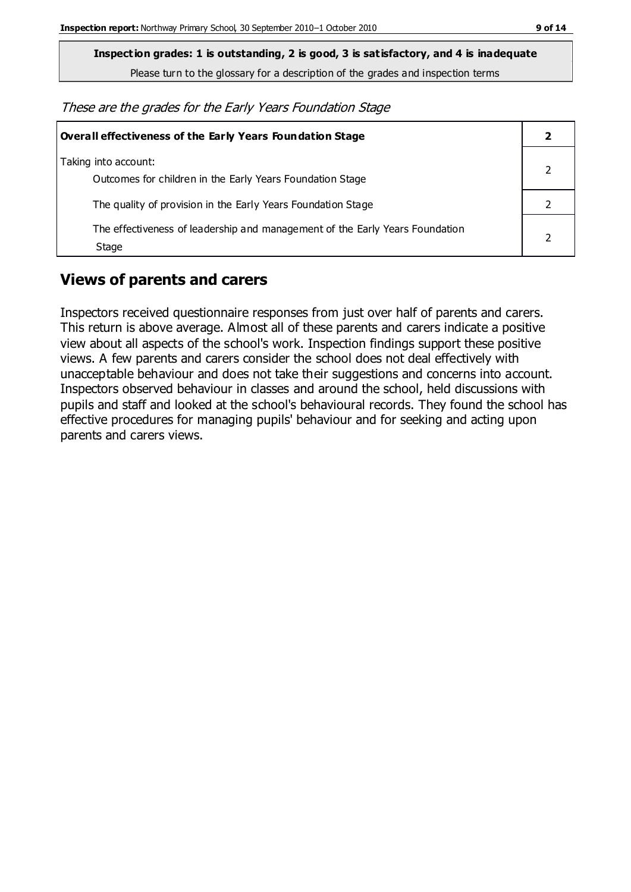**Inspection grades: 1 is outstanding, 2 is good, 3 is satisfactory, and 4 is inadequate**

Please turn to the glossary for a description of the grades and inspection terms

These are the grades for the Early Years Foundation Stage

| Overall effectiveness of the Early Years Foundation Stage                             |  |
|---------------------------------------------------------------------------------------|--|
| Taking into account:<br>Outcomes for children in the Early Years Foundation Stage     |  |
| The quality of provision in the Early Years Foundation Stage                          |  |
| The effectiveness of leadership and management of the Early Years Foundation<br>Stage |  |

### **Views of parents and carers**

Inspectors received questionnaire responses from just over half of parents and carers. This return is above average. Almost all of these parents and carers indicate a positive view about all aspects of the school's work. Inspection findings support these positive views. A few parents and carers consider the school does not deal effectively with unacceptable behaviour and does not take their suggestions and concerns into account. Inspectors observed behaviour in classes and around the school, held discussions with pupils and staff and looked at the school's behavioural records. They found the school has effective procedures for managing pupils' behaviour and for seeking and acting upon parents and carers views.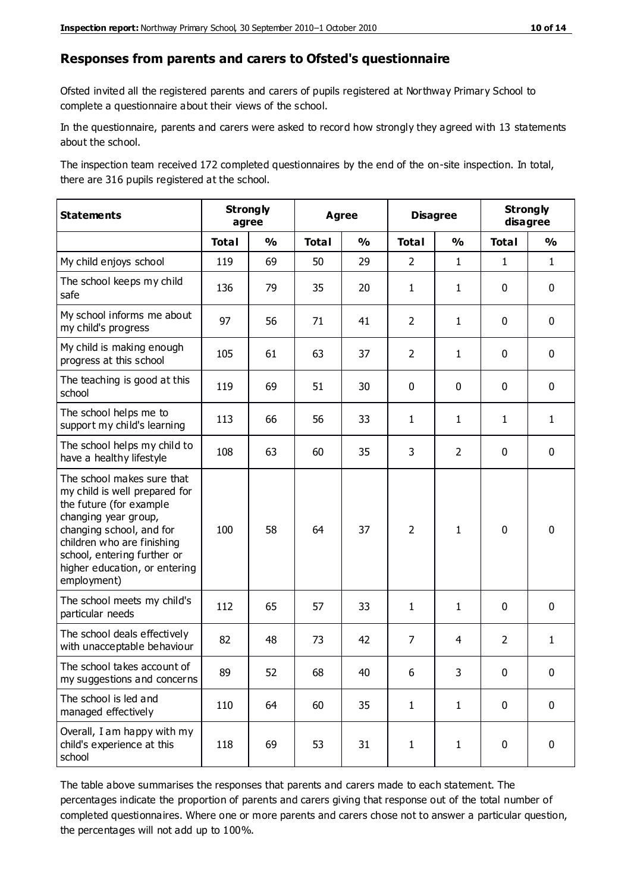#### **Responses from parents and carers to Ofsted's questionnaire**

Ofsted invited all the registered parents and carers of pupils registered at Northway Primary School to complete a questionnaire about their views of the school.

In the questionnaire, parents and carers were asked to record how strongly they agreed with 13 statements about the school.

The inspection team received 172 completed questionnaires by the end of the on-site inspection. In total, there are 316 pupils registered at the school.

| <b>Statements</b>                                                                                                                                                                                                                                       | <b>Strongly</b><br>agree |               | Agree        |               | <b>Disagree</b> |                | <b>Strongly</b><br>disagree |               |
|---------------------------------------------------------------------------------------------------------------------------------------------------------------------------------------------------------------------------------------------------------|--------------------------|---------------|--------------|---------------|-----------------|----------------|-----------------------------|---------------|
|                                                                                                                                                                                                                                                         | <b>Total</b>             | $\frac{1}{2}$ | <b>Total</b> | $\frac{1}{2}$ | <b>Total</b>    | $\frac{0}{0}$  | <b>Total</b>                | $\frac{0}{0}$ |
| My child enjoys school                                                                                                                                                                                                                                  | 119                      | 69            | 50           | 29            | $\overline{2}$  | $\mathbf{1}$   | $\mathbf{1}$                | $\mathbf{1}$  |
| The school keeps my child<br>safe                                                                                                                                                                                                                       | 136                      | 79            | 35           | 20            | $\mathbf{1}$    | $\mathbf{1}$   | $\mathbf 0$                 | $\mathbf 0$   |
| My school informs me about<br>my child's progress                                                                                                                                                                                                       | 97                       | 56            | 71           | 41            | $\overline{2}$  | $\mathbf{1}$   | $\mathbf 0$                 | $\mathbf 0$   |
| My child is making enough<br>progress at this school                                                                                                                                                                                                    | 105                      | 61            | 63           | 37            | $\overline{2}$  | $\mathbf{1}$   | $\mathbf 0$                 | $\mathbf 0$   |
| The teaching is good at this<br>school                                                                                                                                                                                                                  | 119                      | 69            | 51           | 30            | 0               | 0              | 0                           | $\mathbf 0$   |
| The school helps me to<br>support my child's learning                                                                                                                                                                                                   | 113                      | 66            | 56           | 33            | $\mathbf{1}$    | 1              | $\mathbf{1}$                | $\mathbf{1}$  |
| The school helps my child to<br>have a healthy lifestyle                                                                                                                                                                                                | 108                      | 63            | 60           | 35            | 3               | $\overline{2}$ | $\mathbf 0$                 | $\mathbf 0$   |
| The school makes sure that<br>my child is well prepared for<br>the future (for example<br>changing year group,<br>changing school, and for<br>children who are finishing<br>school, entering further or<br>higher education, or entering<br>employment) | 100                      | 58            | 64           | 37            | $\overline{2}$  | $\mathbf{1}$   | $\mathbf 0$                 | $\mathbf 0$   |
| The school meets my child's<br>particular needs                                                                                                                                                                                                         | 112                      | 65            | 57           | 33            | $\mathbf{1}$    | $\mathbf{1}$   | $\mathbf 0$                 | $\mathbf 0$   |
| The school deals effectively<br>with unacceptable behaviour                                                                                                                                                                                             | 82                       | 48            | 73           | 42            | $\overline{7}$  | $\overline{4}$ | $\overline{2}$              | $\mathbf{1}$  |
| The school takes account of<br>my suggestions and concerns                                                                                                                                                                                              | 89                       | 52            | 68           | 40            | 6               | 3              | $\mathbf 0$                 | $\mathbf{0}$  |
| The school is led and<br>managed effectively                                                                                                                                                                                                            | 110                      | 64            | 60           | 35            | $\mathbf{1}$    | $\mathbf{1}$   | $\mathbf 0$                 | $\mathbf 0$   |
| Overall, I am happy with my<br>child's experience at this<br>school                                                                                                                                                                                     | 118                      | 69            | 53           | 31            | $\mathbf{1}$    | $\mathbf{1}$   | $\mathbf 0$                 | $\pmb{0}$     |

The table above summarises the responses that parents and carers made to each statement. The percentages indicate the proportion of parents and carers giving that response out of the total number of completed questionnaires. Where one or more parents and carers chose not to answer a particular question, the percentages will not add up to 100%.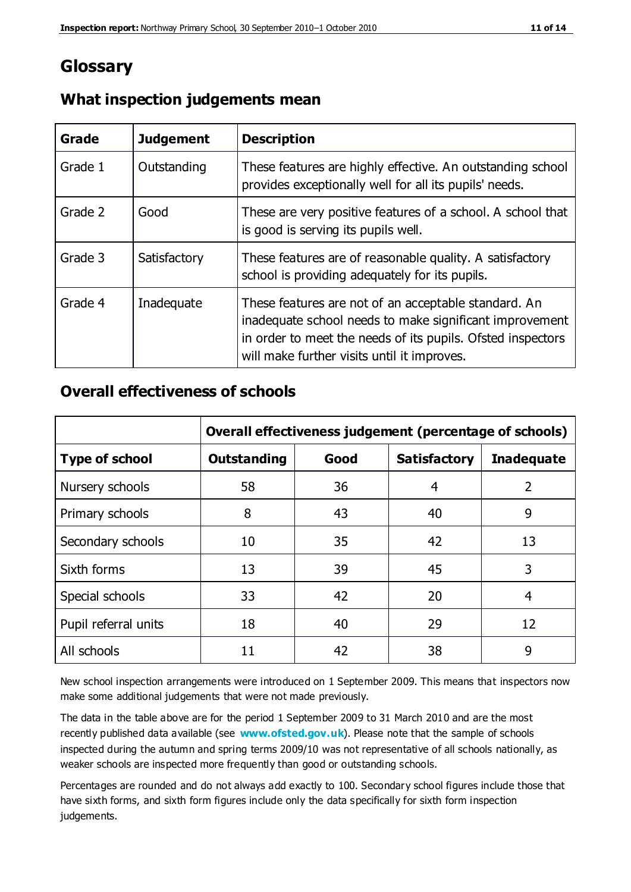## **Glossary**

| Grade   | <b>Judgement</b> | <b>Description</b>                                                                                                                                                                                                            |
|---------|------------------|-------------------------------------------------------------------------------------------------------------------------------------------------------------------------------------------------------------------------------|
| Grade 1 | Outstanding      | These features are highly effective. An outstanding school<br>provides exceptionally well for all its pupils' needs.                                                                                                          |
| Grade 2 | Good             | These are very positive features of a school. A school that<br>is good is serving its pupils well.                                                                                                                            |
| Grade 3 | Satisfactory     | These features are of reasonable quality. A satisfactory<br>school is providing adequately for its pupils.                                                                                                                    |
| Grade 4 | Inadequate       | These features are not of an acceptable standard. An<br>inadequate school needs to make significant improvement<br>in order to meet the needs of its pupils. Ofsted inspectors<br>will make further visits until it improves. |

#### **What inspection judgements mean**

#### **Overall effectiveness of schools**

|                       | Overall effectiveness judgement (percentage of schools) |      |                     |                   |
|-----------------------|---------------------------------------------------------|------|---------------------|-------------------|
| <b>Type of school</b> | <b>Outstanding</b>                                      | Good | <b>Satisfactory</b> | <b>Inadequate</b> |
| Nursery schools       | 58                                                      | 36   | 4                   | 2                 |
| Primary schools       | 8                                                       | 43   | 40                  | 9                 |
| Secondary schools     | 10                                                      | 35   | 42                  | 13                |
| Sixth forms           | 13                                                      | 39   | 45                  | 3                 |
| Special schools       | 33                                                      | 42   | 20                  | 4                 |
| Pupil referral units  | 18                                                      | 40   | 29                  | 12                |
| All schools           | 11                                                      | 42   | 38                  | 9                 |

New school inspection arrangements were introduced on 1 September 2009. This means that inspectors now make some additional judgements that were not made previously.

The data in the table above are for the period 1 September 2009 to 31 March 2010 and are the most recently published data available (see **[www.ofsted.gov.uk](http://www.ofsted.gov.uk/)**). Please note that the sample of schools inspected during the autumn and spring terms 2009/10 was not representative of all schools nationally, as weaker schools are inspected more frequently than good or outstanding schools.

Percentages are rounded and do not always add exactly to 100. Secondary school figures include those that have sixth forms, and sixth form figures include only the data specifically for sixth form inspection judgements.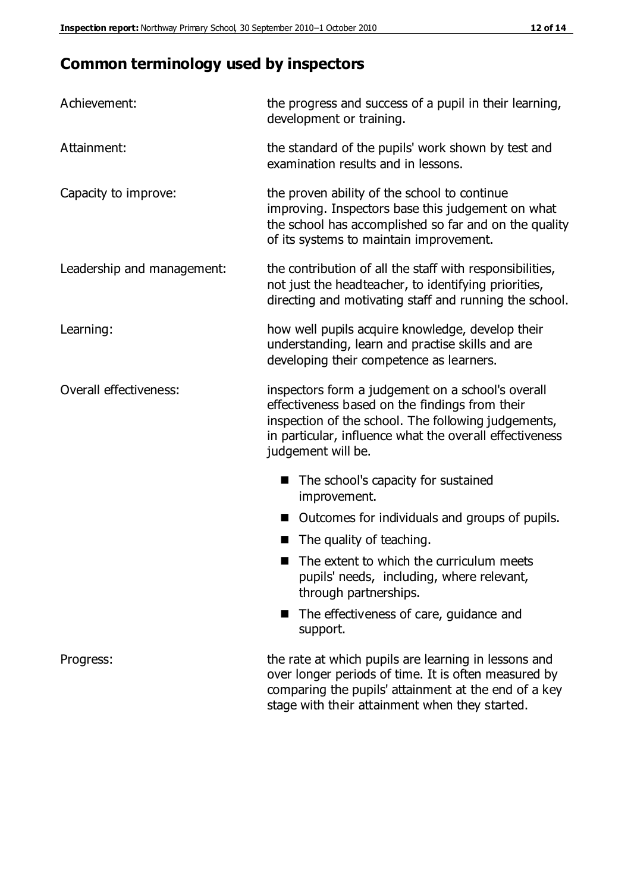# **Common terminology used by inspectors**

| Achievement:               | the progress and success of a pupil in their learning,<br>development or training.                                                                                                                                                          |  |
|----------------------------|---------------------------------------------------------------------------------------------------------------------------------------------------------------------------------------------------------------------------------------------|--|
| Attainment:                | the standard of the pupils' work shown by test and<br>examination results and in lessons.                                                                                                                                                   |  |
| Capacity to improve:       | the proven ability of the school to continue<br>improving. Inspectors base this judgement on what<br>the school has accomplished so far and on the quality<br>of its systems to maintain improvement.                                       |  |
| Leadership and management: | the contribution of all the staff with responsibilities,<br>not just the headteacher, to identifying priorities,<br>directing and motivating staff and running the school.                                                                  |  |
| Learning:                  | how well pupils acquire knowledge, develop their<br>understanding, learn and practise skills and are<br>developing their competence as learners.                                                                                            |  |
| Overall effectiveness:     | inspectors form a judgement on a school's overall<br>effectiveness based on the findings from their<br>inspection of the school. The following judgements,<br>in particular, influence what the overall effectiveness<br>judgement will be. |  |
|                            | The school's capacity for sustained<br>improvement.                                                                                                                                                                                         |  |
|                            | Outcomes for individuals and groups of pupils.                                                                                                                                                                                              |  |
|                            | The quality of teaching.                                                                                                                                                                                                                    |  |
|                            | The extent to which the curriculum meets<br>pupils' needs, including, where relevant,<br>through partnerships.                                                                                                                              |  |
|                            | The effectiveness of care, guidance and<br>support.                                                                                                                                                                                         |  |
| Progress:                  | the rate at which pupils are learning in lessons and<br>over longer periods of time. It is often measured by<br>comparing the pupils' attainment at the end of a key                                                                        |  |

stage with their attainment when they started.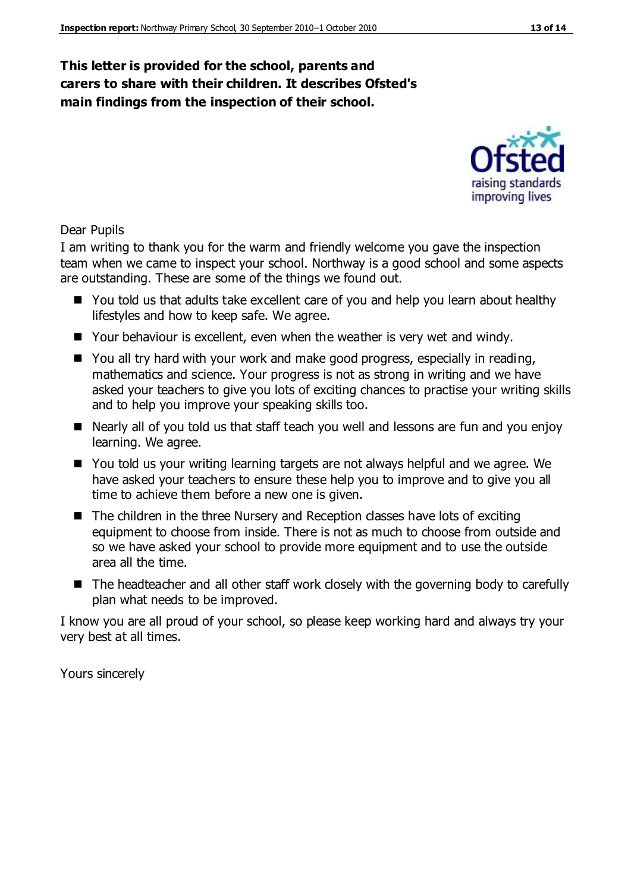#### **This letter is provided for the school, parents and carers to share with their children. It describes Ofsted's main findings from the inspection of their school.**

#### Dear Pupils

I am writing to thank you for the warm and friendly welcome you gave the inspection team when we came to inspect your school. Northway is a good school and some aspects are outstanding. These are some of the things we found out.

- You told us that adults take excellent care of you and help you learn about healthy lifestyles and how to keep safe. We agree.
- Your behaviour is excellent, even when the weather is very wet and windy.
- You all try hard with your work and make good progress, especially in reading, mathematics and science. Your progress is not as strong in writing and we have asked your teachers to give you lots of exciting chances to practise your writing skills and to help you improve your speaking skills too.
- Nearly all of you told us that staff teach you well and lessons are fun and you enjoy learning. We agree.
- You told us your writing learning targets are not always helpful and we agree. We have asked your teachers to ensure these help you to improve and to give you all time to achieve them before a new one is given.
- $\blacksquare$  The children in the three Nursery and Reception classes have lots of exciting equipment to choose from inside. There is not as much to choose from outside and so we have asked your school to provide more equipment and to use the outside area all the time.
- The headteacher and all other staff work closely with the governing body to carefully plan what needs to be improved.

I know you are all proud of your school, so please keep working hard and always try your very best at all times.

Yours sincerely